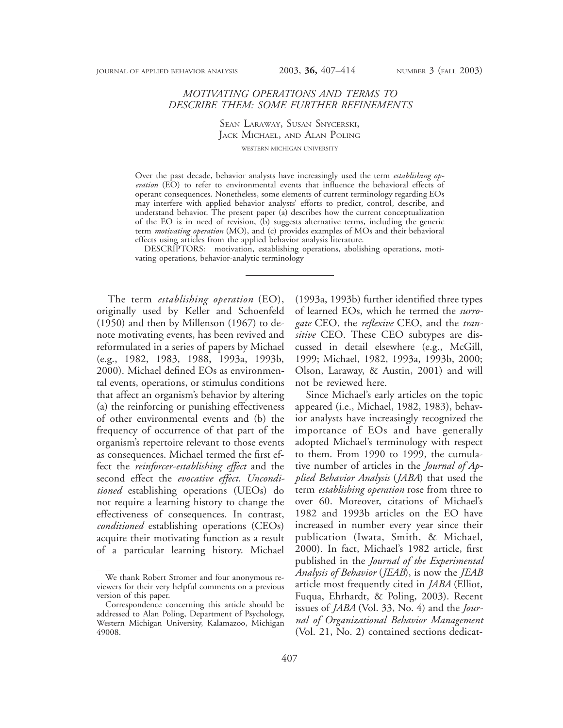## *MOTIVATING OPERATIONS AND TERMS TO DESCRIBE THEM: SOME FURTHER REFINEMENTS*

SEAN LARAWAY, SUSAN SNYCERSKI,

JACK MICHAEL, AND ALAN POLING

WESTERN MICHIGAN UNIVERSITY

Over the past decade, behavior analysts have increasingly used the term *establishing operation* (EO) to refer to environmental events that influence the behavioral effects of operant consequences. Nonetheless, some elements of current terminology regarding EOs may interfere with applied behavior analysts' efforts to predict, control, describe, and understand behavior. The present paper (a) describes how the current conceptualization of the EO is in need of revision, (b) suggests alternative terms, including the generic term *motivating operation* (MO), and (c) provides examples of MOs and their behavioral effects using articles from the applied behavior analysis literature.

DESCRIPTORS: motivation, establishing operations, abolishing operations, motivating operations, behavior-analytic terminology

The term *establishing operation* (EO), originally used by Keller and Schoenfeld (1950) and then by Millenson (1967) to denote motivating events, has been revived and reformulated in a series of papers by Michael (e.g., 1982, 1983, 1988, 1993a, 1993b, 2000). Michael defined EOs as environmental events, operations, or stimulus conditions that affect an organism's behavior by altering (a) the reinforcing or punishing effectiveness of other environmental events and (b) the frequency of occurrence of that part of the organism's repertoire relevant to those events as consequences. Michael termed the first effect the *reinforcer-establishing effect* and the second effect the *evocative effect*. *Unconditioned* establishing operations (UEOs) do not require a learning history to change the effectiveness of consequences. In contrast, *conditioned* establishing operations (CEOs) acquire their motivating function as a result of a particular learning history. Michael

(1993a, 1993b) further identified three types of learned EOs, which he termed the *surrogate* CEO, the *reflexive* CEO, and the *transitive* CEO. These CEO subtypes are discussed in detail elsewhere (e.g., McGill, 1999; Michael, 1982, 1993a, 1993b, 2000; Olson, Laraway, & Austin, 2001) and will not be reviewed here.

Since Michael's early articles on the topic appeared (i.e., Michael, 1982, 1983), behavior analysts have increasingly recognized the importance of EOs and have generally adopted Michael's terminology with respect to them. From 1990 to 1999, the cumulative number of articles in the *Journal of Applied Behavior Analysis* (*JABA*) that used the term *establishing operation* rose from three to over 60. Moreover, citations of Michael's 1982 and 1993b articles on the EO have increased in number every year since their publication (Iwata, Smith, & Michael, 2000). In fact, Michael's 1982 article, first published in the *Journal of the Experimental Analysis of Behavior* (*JEAB*), is now the *JEAB* article most frequently cited in *JABA* (Elliot, Fuqua, Ehrhardt, & Poling, 2003). Recent issues of *JABA* (Vol. 33, No. 4) and the *Journal of Organizational Behavior Management* (Vol. 21, No. 2) contained sections dedicat-

We thank Robert Stromer and four anonymous reviewers for their very helpful comments on a previous version of this paper.

Correspondence concerning this article should be addressed to Alan Poling, Department of Psychology, Western Michigan University, Kalamazoo, Michigan 49008.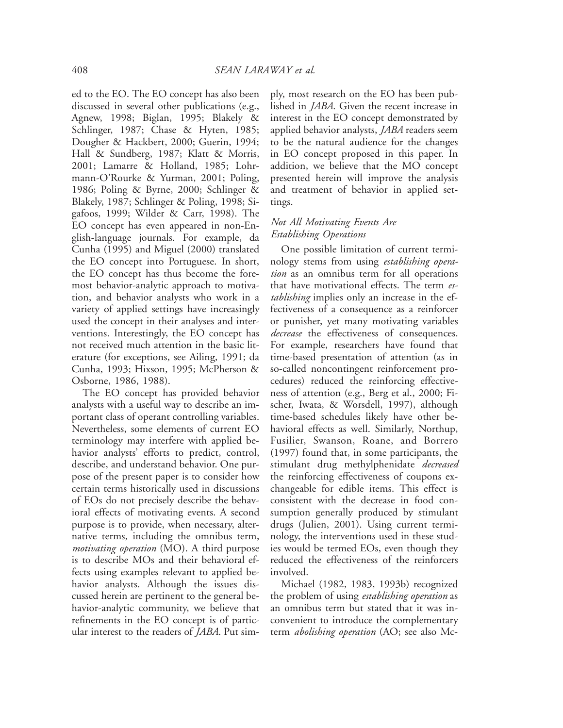ed to the EO. The EO concept has also been discussed in several other publications (e.g., Agnew, 1998; Biglan, 1995; Blakely & Schlinger, 1987; Chase & Hyten, 1985; Dougher & Hackbert, 2000; Guerin, 1994; Hall & Sundberg, 1987; Klatt & Morris, 2001; Lamarre & Holland, 1985; Lohrmann-O'Rourke & Yurman, 2001; Poling, 1986; Poling & Byrne, 2000; Schlinger & Blakely, 1987; Schlinger & Poling, 1998; Sigafoos, 1999; Wilder & Carr, 1998). The EO concept has even appeared in non-English-language journals. For example, da Cunha (1995) and Miguel (2000) translated the EO concept into Portuguese. In short, the EO concept has thus become the foremost behavior-analytic approach to motivation, and behavior analysts who work in a variety of applied settings have increasingly used the concept in their analyses and interventions. Interestingly, the EO concept has not received much attention in the basic literature (for exceptions, see Ailing, 1991; da Cunha, 1993; Hixson, 1995; McPherson & Osborne, 1986, 1988).

The EO concept has provided behavior analysts with a useful way to describe an important class of operant controlling variables. Nevertheless, some elements of current EO terminology may interfere with applied behavior analysts' efforts to predict, control, describe, and understand behavior. One purpose of the present paper is to consider how certain terms historically used in discussions of EOs do not precisely describe the behavioral effects of motivating events. A second purpose is to provide, when necessary, alternative terms, including the omnibus term, *motivating operation* (MO). A third purpose is to describe MOs and their behavioral effects using examples relevant to applied behavior analysts. Although the issues discussed herein are pertinent to the general behavior-analytic community, we believe that refinements in the EO concept is of particular interest to the readers of *JABA*. Put sim-

ply, most research on the EO has been published in *JABA*. Given the recent increase in interest in the EO concept demonstrated by applied behavior analysts, *JABA* readers seem to be the natural audience for the changes in EO concept proposed in this paper. In addition, we believe that the MO concept presented herein will improve the analysis and treatment of behavior in applied settings.

# *Not All Motivating Events Are Establishing Operations*

One possible limitation of current terminology stems from using *establishing operation* as an omnibus term for all operations that have motivational effects. The term *establishing* implies only an increase in the effectiveness of a consequence as a reinforcer or punisher, yet many motivating variables *decrease* the effectiveness of consequences. For example, researchers have found that time-based presentation of attention (as in so-called noncontingent reinforcement procedures) reduced the reinforcing effectiveness of attention (e.g., Berg et al., 2000; Fischer, Iwata, & Worsdell, 1997), although time-based schedules likely have other behavioral effects as well. Similarly, Northup, Fusilier, Swanson, Roane, and Borrero (1997) found that, in some participants, the stimulant drug methylphenidate *decreased* the reinforcing effectiveness of coupons exchangeable for edible items. This effect is consistent with the decrease in food consumption generally produced by stimulant drugs (Julien, 2001). Using current terminology, the interventions used in these studies would be termed EOs, even though they reduced the effectiveness of the reinforcers involved.

Michael (1982, 1983, 1993b) recognized the problem of using *establishing operation* as an omnibus term but stated that it was inconvenient to introduce the complementary term *abolishing operation* (AO; see also Mc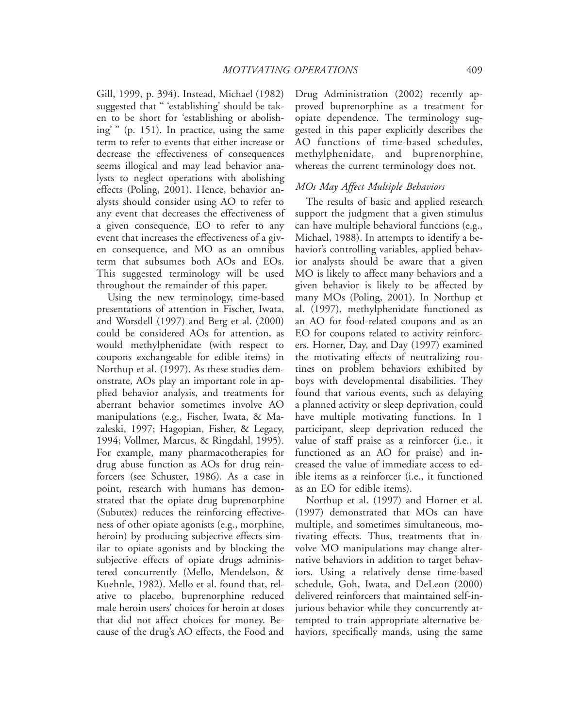Gill, 1999, p. 394). Instead, Michael (1982) suggested that '' 'establishing' should be taken to be short for 'establishing or abolishing' '' (p. 151). In practice, using the same term to refer to events that either increase or decrease the effectiveness of consequences seems illogical and may lead behavior analysts to neglect operations with abolishing effects (Poling, 2001). Hence, behavior analysts should consider using AO to refer to any event that decreases the effectiveness of a given consequence, EO to refer to any event that increases the effectiveness of a given consequence, and MO as an omnibus term that subsumes both AOs and EOs. This suggested terminology will be used throughout the remainder of this paper.

Using the new terminology, time-based presentations of attention in Fischer, Iwata, and Worsdell (1997) and Berg et al. (2000) could be considered AOs for attention, as would methylphenidate (with respect to coupons exchangeable for edible items) in Northup et al. (1997). As these studies demonstrate, AOs play an important role in applied behavior analysis, and treatments for aberrant behavior sometimes involve AO manipulations (e.g., Fischer, Iwata, & Mazaleski, 1997; Hagopian, Fisher, & Legacy, 1994; Vollmer, Marcus, & Ringdahl, 1995). For example, many pharmacotherapies for drug abuse function as AOs for drug reinforcers (see Schuster, 1986). As a case in point, research with humans has demonstrated that the opiate drug buprenorphine (Subutex) reduces the reinforcing effectiveness of other opiate agonists (e.g., morphine, heroin) by producing subjective effects similar to opiate agonists and by blocking the subjective effects of opiate drugs administered concurrently (Mello, Mendelson, & Kuehnle, 1982). Mello et al. found that, relative to placebo, buprenorphine reduced male heroin users' choices for heroin at doses that did not affect choices for money. Because of the drug's AO effects, the Food and

Drug Administration (2002) recently approved buprenorphine as a treatment for opiate dependence. The terminology suggested in this paper explicitly describes the AO functions of time-based schedules, methylphenidate, and buprenorphine, whereas the current terminology does not.

### *MOs May Affect Multiple Behaviors*

The results of basic and applied research support the judgment that a given stimulus can have multiple behavioral functions (e.g., Michael, 1988). In attempts to identify a behavior's controlling variables, applied behavior analysts should be aware that a given MO is likely to affect many behaviors and a given behavior is likely to be affected by many MOs (Poling, 2001). In Northup et al. (1997), methylphenidate functioned as an AO for food-related coupons and as an EO for coupons related to activity reinforcers. Horner, Day, and Day (1997) examined the motivating effects of neutralizing routines on problem behaviors exhibited by boys with developmental disabilities. They found that various events, such as delaying a planned activity or sleep deprivation, could have multiple motivating functions. In 1 participant, sleep deprivation reduced the value of staff praise as a reinforcer (i.e., it functioned as an AO for praise) and increased the value of immediate access to edible items as a reinforcer (i.e., it functioned as an EO for edible items).

Northup et al. (1997) and Horner et al. (1997) demonstrated that MOs can have multiple, and sometimes simultaneous, motivating effects. Thus, treatments that involve MO manipulations may change alternative behaviors in addition to target behaviors. Using a relatively dense time-based schedule, Goh, Iwata, and DeLeon (2000) delivered reinforcers that maintained self-injurious behavior while they concurrently attempted to train appropriate alternative behaviors, specifically mands, using the same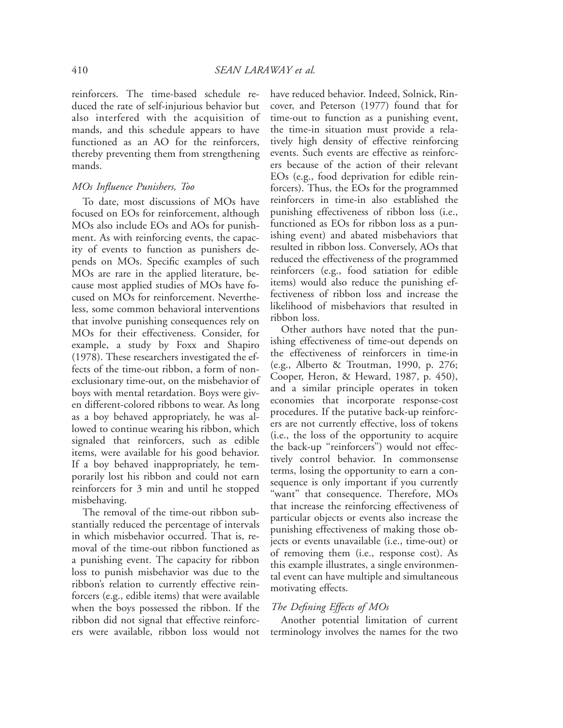reinforcers. The time-based schedule reduced the rate of self-injurious behavior but also interfered with the acquisition of mands, and this schedule appears to have functioned as an AO for the reinforcers, thereby preventing them from strengthening mands.

### *MOs Influence Punishers, Too*

To date, most discussions of MOs have focused on EOs for reinforcement, although MOs also include EOs and AOs for punishment. As with reinforcing events, the capacity of events to function as punishers depends on MOs. Specific examples of such MOs are rare in the applied literature, because most applied studies of MOs have focused on MOs for reinforcement. Nevertheless, some common behavioral interventions that involve punishing consequences rely on MOs for their effectiveness. Consider, for example, a study by Foxx and Shapiro (1978). These researchers investigated the effects of the time-out ribbon, a form of nonexclusionary time-out, on the misbehavior of boys with mental retardation. Boys were given different-colored ribbons to wear. As long as a boy behaved appropriately, he was allowed to continue wearing his ribbon, which signaled that reinforcers, such as edible items, were available for his good behavior. If a boy behaved inappropriately, he temporarily lost his ribbon and could not earn reinforcers for 3 min and until he stopped misbehaving.

The removal of the time-out ribbon substantially reduced the percentage of intervals in which misbehavior occurred. That is, removal of the time-out ribbon functioned as a punishing event. The capacity for ribbon loss to punish misbehavior was due to the ribbon's relation to currently effective reinforcers (e.g., edible items) that were available when the boys possessed the ribbon. If the ribbon did not signal that effective reinforcers were available, ribbon loss would not have reduced behavior. Indeed, Solnick, Rincover, and Peterson (1977) found that for time-out to function as a punishing event, the time-in situation must provide a relatively high density of effective reinforcing events. Such events are effective as reinforcers because of the action of their relevant EOs (e.g., food deprivation for edible reinforcers). Thus, the EOs for the programmed reinforcers in time-in also established the punishing effectiveness of ribbon loss (i.e., functioned as EOs for ribbon loss as a punishing event) and abated misbehaviors that resulted in ribbon loss. Conversely, AOs that reduced the effectiveness of the programmed reinforcers (e.g., food satiation for edible items) would also reduce the punishing effectiveness of ribbon loss and increase the likelihood of misbehaviors that resulted in ribbon loss.

Other authors have noted that the punishing effectiveness of time-out depends on the effectiveness of reinforcers in time-in (e.g., Alberto & Troutman, 1990, p. 276; Cooper, Heron, & Heward, 1987, p. 450), and a similar principle operates in token economies that incorporate response-cost procedures. If the putative back-up reinforcers are not currently effective, loss of tokens (i.e., the loss of the opportunity to acquire the back-up ''reinforcers'') would not effectively control behavior. In commonsense terms, losing the opportunity to earn a consequence is only important if you currently "want" that consequence. Therefore, MOs that increase the reinforcing effectiveness of particular objects or events also increase the punishing effectiveness of making those objects or events unavailable (i.e., time-out) or of removing them (i.e., response cost). As this example illustrates, a single environmental event can have multiple and simultaneous motivating effects.

#### *The Defining Effects of MOs*

Another potential limitation of current terminology involves the names for the two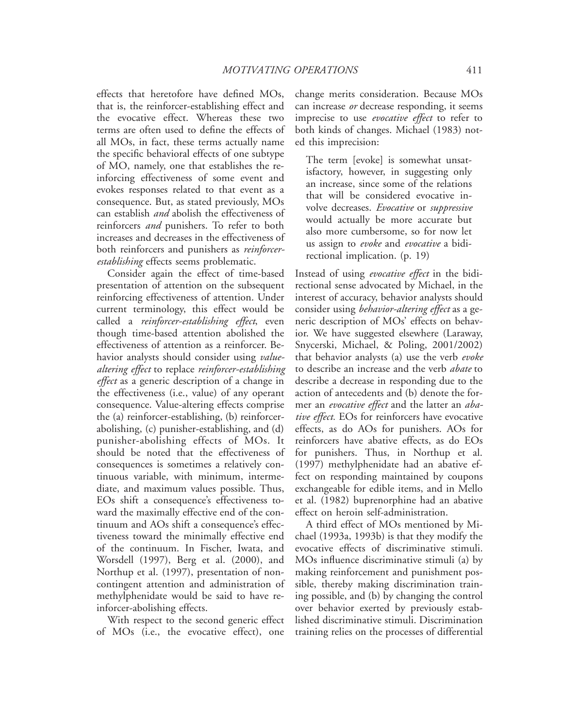effects that heretofore have defined MOs, that is, the reinforcer-establishing effect and the evocative effect. Whereas these two terms are often used to define the effects of all MOs, in fact, these terms actually name the specific behavioral effects of one subtype of MO, namely, one that establishes the reinforcing effectiveness of some event and evokes responses related to that event as a consequence. But, as stated previously, MOs can establish *and* abolish the effectiveness of reinforcers *and* punishers. To refer to both increases and decreases in the effectiveness of both reinforcers and punishers as *reinforcerestablishing* effects seems problematic.

Consider again the effect of time-based presentation of attention on the subsequent reinforcing effectiveness of attention. Under current terminology, this effect would be called a *reinforcer-establishing effect*, even though time-based attention abolished the effectiveness of attention as a reinforcer. Behavior analysts should consider using *valuealtering effect* to replace *reinforcer-establishing effect* as a generic description of a change in the effectiveness (i.e., value) of any operant consequence. Value-altering effects comprise the (a) reinforcer-establishing, (b) reinforcerabolishing, (c) punisher-establishing, and (d) punisher-abolishing effects of MOs. It should be noted that the effectiveness of consequences is sometimes a relatively continuous variable, with minimum, intermediate, and maximum values possible. Thus, EOs shift a consequence's effectiveness toward the maximally effective end of the continuum and AOs shift a consequence's effectiveness toward the minimally effective end of the continuum. In Fischer, Iwata, and Worsdell (1997), Berg et al. (2000), and Northup et al. (1997), presentation of noncontingent attention and administration of methylphenidate would be said to have reinforcer-abolishing effects.

With respect to the second generic effect of MOs (i.e., the evocative effect), one

change merits consideration. Because MOs can increase *or* decrease responding, it seems imprecise to use *evocative effect* to refer to both kinds of changes. Michael (1983) noted this imprecision:

The term [evoke] is somewhat unsatisfactory, however, in suggesting only an increase, since some of the relations that will be considered evocative involve decreases. *Evocative* or *suppressive* would actually be more accurate but also more cumbersome, so for now let us assign to *evoke* and *evocative* a bidirectional implication. (p. 19)

Instead of using *evocative effect* in the bidirectional sense advocated by Michael, in the interest of accuracy, behavior analysts should consider using *behavior-altering effect* as a generic description of MOs' effects on behavior. We have suggested elsewhere (Laraway, Snycerski, Michael, & Poling, 2001/2002) that behavior analysts (a) use the verb *evoke* to describe an increase and the verb *abate* to describe a decrease in responding due to the action of antecedents and (b) denote the former an *evocative effect* and the latter an *abative effect.* EOs for reinforcers have evocative effects, as do AOs for punishers. AOs for reinforcers have abative effects, as do EOs for punishers. Thus, in Northup et al. (1997) methylphenidate had an abative effect on responding maintained by coupons exchangeable for edible items, and in Mello et al. (1982) buprenorphine had an abative effect on heroin self-administration.

A third effect of MOs mentioned by Michael (1993a, 1993b) is that they modify the evocative effects of discriminative stimuli. MOs influence discriminative stimuli (a) by making reinforcement and punishment possible, thereby making discrimination training possible, and (b) by changing the control over behavior exerted by previously established discriminative stimuli. Discrimination training relies on the processes of differential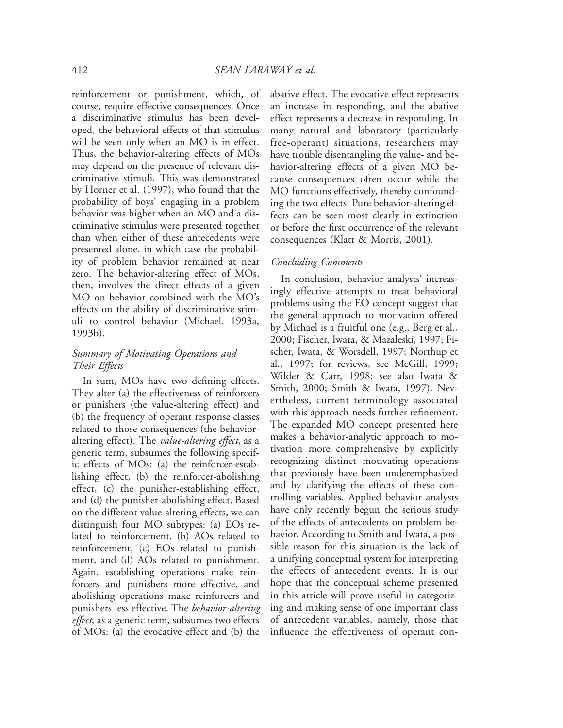reinforcement or punishment, which, of course, require effective consequences. Once a discriminative stimulus has been developed, the behavioral effects of that stimulus will be seen only when an MO is in effect. Thus, the behavior-altering effects of MOs may depend on the presence of relevant discriminative stimuli. This was demonstrated by Horner et al. (1997), who found that the probability of boys' engaging in a problem behavior was higher when an MO and a discriminative stimulus were presented together than when either of these antecedents were presented alone, in which case the probability of problem behavior remained at near zero. The behavior-altering effect of MOs, then, involves the direct effects of a given MO on behavior combined with the MO's effects on the ability of discriminative stimuli to control behavior (Michael, 1993a, 1993b).

# *Summary of Motivating Operations and Their Effects*

In sum, MOs have two defining effects. They alter (a) the effectiveness of reinforcers or punishers (the value-altering effect) and (b) the frequency of operant response classes related to those consequences (the behavioraltering effect). The *value-altering effect*, as a generic term, subsumes the following specific effects of MOs: (a) the reinforcer-establishing effect, (b) the reinforcer-abolishing effect, (c) the punisher-establishing effect, and (d) the punisher-abolishing effect. Based on the different value-altering effects, we can distinguish four MO subtypes: (a) EOs related to reinforcement, (b) AOs related to reinforcement, (c) EOs related to punishment, and (d) AOs related to punishment. Again, establishing operations make reinforcers and punishers more effective, and abolishing operations make reinforcers and punishers less effective. The *behavior-altering effect*, as a generic term, subsumes two effects of MOs: (a) the evocative effect and (b) the

abative effect. The evocative effect represents an increase in responding, and the abative effect represents a decrease in responding. In many natural and laboratory (particularly free-operant) situations, researchers may have trouble disentangling the value- and behavior-altering effects of a given MO because consequences often occur while the MO functions effectively, thereby confounding the two effects. Pure behavior-altering effects can be seen most clearly in extinction or before the first occurrence of the relevant consequences (Klatt & Morris, 2001).

## *Concluding Comments*

In conclusion, behavior analysts' increasingly effective attempts to treat behavioral problems using the EO concept suggest that the general approach to motivation offered by Michael is a fruitful one (e.g., Berg et al., 2000; Fischer, Iwata, & Mazaleski, 1997; Fischer, Iwata, & Worsdell, 1997; Northup et al., 1997; for reviews, see McGill, 1999; Wilder & Carr, 1998; see also Iwata & Smith, 2000; Smith & Iwata, 1997). Nevertheless, current terminology associated with this approach needs further refinement. The expanded MO concept presented here makes a behavior-analytic approach to motivation more comprehensive by explicitly recognizing distinct motivating operations that previously have been underemphasized and by clarifying the effects of these controlling variables. Applied behavior analysts have only recently begun the serious study of the effects of antecedents on problem behavior. According to Smith and Iwata, a possible reason for this situation is the lack of a unifying conceptual system for interpreting the effects of antecedent events. It is our hope that the conceptual scheme presented in this article will prove useful in categorizing and making sense of one important class of antecedent variables, namely, those that influence the effectiveness of operant con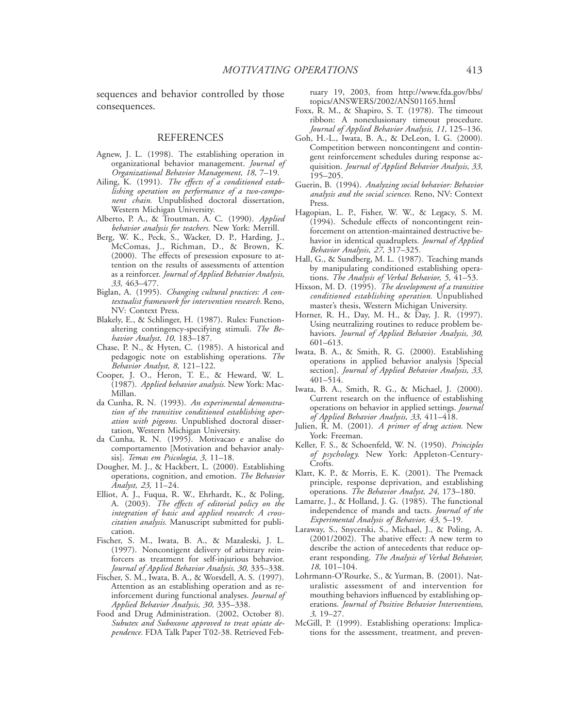sequences and behavior controlled by those consequences.

#### REFERENCES

- Agnew, J. L. (1998). The establishing operation in organizational behavior management. *Journal of Organizational Behavior Management, 18,* 7–19.
- Ailing, K. (1991). *The effects of a conditioned establishing operation on performance of a two-component chain.* Unpublished doctoral dissertation, Western Michigan University.
- Alberto, P. A., & Troutman, A. C. (1990). *Applied behavior analysis for teachers.* New York: Merrill.
- Berg, W. K., Peck, S., Wacker, D. P., Harding, J., McComas, J., Richman, D., & Brown, K. (2000). The effects of presession exposure to attention on the results of assessments of attention as a reinforcer. *Journal of Applied Behavior Analysis, 33,* 463–477.
- Biglan, A. (1995). *Changing cultural practices: A contextualist framework for intervention research.* Reno, NV: Context Press.
- Blakely, E., & Schlinger, H. (1987). Rules: Functionaltering contingency-specifying stimuli. *The Behavior Analyst, 10,* 183–187.
- Chase, P. N., & Hyten, C. (1985). A historical and pedagogic note on establishing operations. *The Behavior Analyst, 8,* 121–122.
- Cooper, J. O., Heron, T. E., & Heward, W. L. (1987). *Applied behavior analysis.* New York: Mac-Millan.
- da Cunha, R. N. (1993). *An experimental demonstration of the transitive conditioned establishing operation with pigeons.* Unpublished doctoral dissertation, Western Michigan University.
- da Cunha, R. N. (1995). Motivacao e analise do comportamento [Motivation and behavior analysis]. *Temas em Psicologia, 3,* 11–18.
- Dougher, M. J., & Hackbert, L. (2000). Establishing operations, cognition, and emotion. *The Behavior Analyst, 23,* 11–24.
- Elliot, A. J., Fuqua, R. W., Ehrhardt, K., & Poling, A. (2003). *The effects of editorial policy on the integration of basic and applied research: A crosscitation analysis.* Manuscript submitted for publication.
- Fischer, S. M., Iwata, B. A., & Mazaleski, J. L. (1997). Noncontigent delivery of arbitrary reinforcers as treatment for self-injurious behavior. *Journal of Applied Behavior Analysis, 30,* 335–338.
- Fischer, S. M., Iwata, B. A., & Worsdell, A. S. (1997). Attention as an establishing operation and as reinforcement during functional analyses. *Journal of Applied Behavior Analysis, 30,* 335–338.
- Food and Drug Administration. (2002, October 8). *Subutex and Suboxone approved to treat opiate dependence.* FDA Talk Paper T02-38. Retrieved Feb-

ruary 19, 2003, from http://www.fda.gov/bbs/ topics/ANSWERS/2002/ANS01165.html

- Foxx, R. M., & Shapiro, S. T. (1978). The timeout ribbon: A nonexlusionary timeout procedure. *Journal of Applied Behavior Analysis, 11,* 125–136.
- Goh, H.-L., Iwata, B. A., & DeLeon, I. G. (2000). Competition between noncontingent and contingent reinforcement schedules during response acquisition. *Journal of Applied Behavior Analysis, 33,* 195–205.
- Guerin, B. (1994). *Analyzing social behavior: Behavior analysis and the social sciences.* Reno, NV: Context Press.
- Hagopian, L. P., Fisher, W. W., & Legacy, S. M. (1994). Schedule effects of noncontingent reinforcement on attention-maintained destructive behavior in identical quadruplets. *Journal of Applied Behavior Analysis, 27,* 317–325.
- Hall, G., & Sundberg, M. L. (1987). Teaching mands by manipulating conditioned establishing operations. *The Analysis of Verbal Behavior, 5,* 41–53.
- Hixson, M. D. (1995). *The development of a transitive conditioned establishing operation.* Unpublished master's thesis, Western Michigan University.
- Horner, R. H., Day, M. H., & Day, J. R. (1997). Using neutralizing routines to reduce problem behaviors. *Journal of Applied Behavior Analysis, 30,* 601–613.
- Iwata, B. A., & Smith, R. G. (2000). Establishing operations in applied behavior analysis [Special section]. *Journal of Applied Behavior Analysis, 33,* 401–514.
- Iwata, B. A., Smith, R. G., & Michael, J. (2000). Current research on the influence of establishing operations on behavior in applied settings. *Journal of Applied Behavior Analysis, 33,* 411–418.
- Julien, R. M. (2001). *A primer of drug action.* New York: Freeman.
- Keller, F. S., & Schoenfeld, W. N. (1950). *Principles of psychology.* New York: Appleton-Century-Crofts.
- Klatt, K. P., & Morris, E. K. (2001). The Premack principle, response deprivation, and establishing operations. *The Behavior Analyst, 24,* 173–180.
- Lamarre, J., & Holland, J. G. (1985). The functional independence of mands and tacts. *Journal of the Experimental Analysis of Behavior, 43,* 5–19.
- Laraway, S., Snycerski, S., Michael, J., & Poling, A. (2001/2002). The abative effect: A new term to describe the action of antecedents that reduce operant responding. *The Analysis of Verbal Behavior, 18,* 101–104.
- Lohrmann-O'Rourke, S., & Yurman, B. (2001). Naturalistic assessment of and intervention for mouthing behaviors influenced by establishing operations. *Journal of Positive Behavior Interventions, 3,* 19–27.
- McGill, P. (1999). Establishing operations: Implications for the assessment, treatment, and preven-